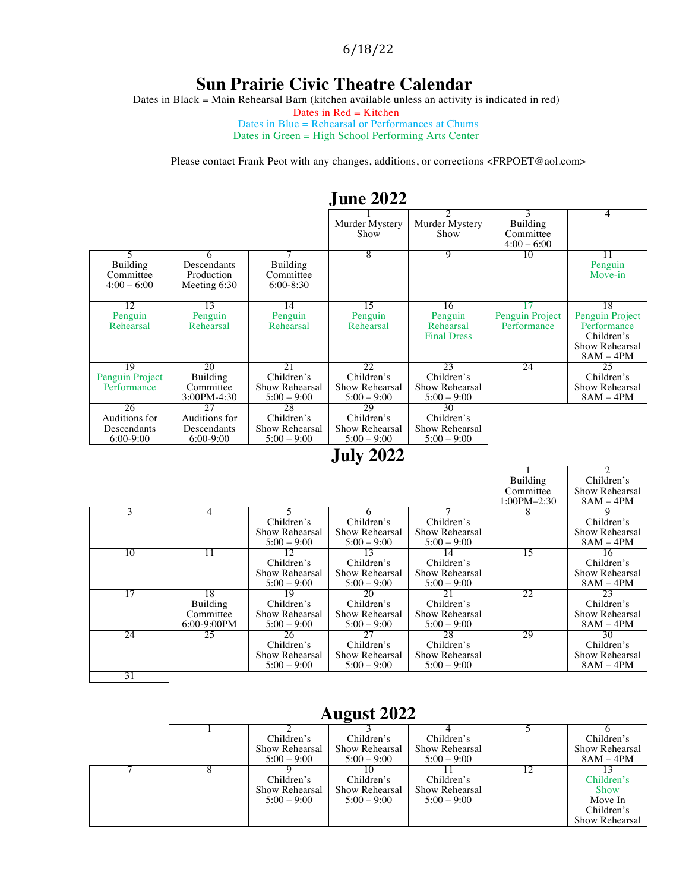6/18/22

### **Sun Prairie Civic Theatre Calendar**

Dates in Black = Main Rehearsal Barn (kitchen available unless an activity is indicated in red)

Dates in  $Red =$ Kitchen

Dates in Blue = Rehearsal or Performances at Chums Dates in Green = High School Performing Arts Center

Please contact Frank Peot with any changes, additions, or corrections <FRPOET@aol.com>

|                                                    |                                                   |                                                     | June 2022                                           |                                                     |                                        |                                                                                     |
|----------------------------------------------------|---------------------------------------------------|-----------------------------------------------------|-----------------------------------------------------|-----------------------------------------------------|----------------------------------------|-------------------------------------------------------------------------------------|
|                                                    |                                                   |                                                     | Murder Mystery<br>Show                              | Murder Mystery<br>Show                              | Building<br>Committee<br>$4:00 - 6:00$ | 4                                                                                   |
| 5<br><b>Building</b><br>Committee<br>$4:00 - 6:00$ | 6<br>Descendants<br>Production<br>Meeting $6:30$  | Building<br>Committee<br>$6:00-8:30$                | 8                                                   | 9                                                   | 10                                     | 11<br>Penguin<br>Move-in                                                            |
| 12<br>Penguin<br>Rehearsal                         | 13<br>Penguin<br>Rehearsal                        | 14<br>Penguin<br>Rehearsal                          | 15<br>Penguin<br>Rehearsal                          | 16<br>Penguin<br>Rehearsal<br><b>Final Dress</b>    | Penguin Project<br>Performance         | 18<br>Penguin Project<br>Performance<br>Children's<br>Show Rehearsal<br>$8AM - 4PM$ |
| 19<br>Penguin Project<br>Performance               | 20<br>Building<br>Committee<br>$3:00PM - 4:30$    | 21<br>Children's<br>Show Rehearsal<br>$5:00 - 9:00$ | 22<br>Children's<br>Show Rehearsal<br>$5:00 - 9:00$ | 23<br>Children's<br>Show Rehearsal<br>$5:00 - 9:00$ | 24                                     | 25<br>Children's<br>Show Rehearsal<br>$8AM - 4PM$                                   |
| 26<br>Auditions for<br>Descendants<br>$6:00-9:00$  | 27<br>Auditions for<br>Descendants<br>$6:00-9:00$ | 28<br>Children's<br>Show Rehearsal<br>$5:00 - 9:00$ | 29<br>Children's<br>Show Rehearsal<br>$5:00 - 9:00$ | 30<br>Children's<br>Show Rehearsal<br>$5:00 - 9:00$ |                                        |                                                                                     |

#### **June 2022**

### **July 2022**

|    |                |                |                |                | Building        | Children's     |
|----|----------------|----------------|----------------|----------------|-----------------|----------------|
|    |                |                |                |                | Committee       | Show Rehearsal |
|    |                |                |                |                | $1:00PM - 2:30$ | $8AM - 4PM$    |
| 3  | 4              |                | h              |                | 8               |                |
|    |                | Children's     | Children's     | Children's     |                 | Children's     |
|    |                | Show Rehearsal | Show Rehearsal | Show Rehearsal |                 | Show Rehearsal |
|    |                | $5:00 - 9:00$  | $5:00 - 9:00$  | $5:00 - 9:00$  |                 | $8AM - 4PM$    |
| 10 | 11             | 12             | 13             | 14             | 15              | 16             |
|    |                | Children's     | Children's     | Children's     |                 | Children's     |
|    |                | Show Rehearsal | Show Rehearsal | Show Rehearsal |                 | Show Rehearsal |
|    |                | $5:00 - 9:00$  | $5:00 - 9:00$  | $5:00 - 9:00$  |                 | $8AM - 4PM$    |
| 17 | 18             | 19             | 20             | 21             | 22              | 23             |
|    | Building       | Children's     | Children's     | Children's     |                 | Children's     |
|    | Committee      | Show Rehearsal | Show Rehearsal | Show Rehearsal |                 | Show Rehearsal |
|    | $6:00-9:00$ PM | $5:00 - 9:00$  | $5:00 - 9:00$  | $5:00 - 9:00$  |                 | $8AM - 4PM$    |
| 24 | 25             | 26             | 27             | 28             | 29              | 30             |
|    |                | Children's     | Children's     | Children's     |                 | Children's     |
|    |                | Show Rehearsal | Show Rehearsal | Show Rehearsal |                 | Show Rehearsal |
|    |                | $5:00 - 9:00$  | $5:00 - 9:00$  | $5:00 - 9:00$  |                 | $8AM - 4PM$    |
| 31 |                |                |                |                |                 |                |

### **August 2022**

|  |                                               | . .                                           |                                               |                                                                      |
|--|-----------------------------------------------|-----------------------------------------------|-----------------------------------------------|----------------------------------------------------------------------|
|  | Children's<br>Show Rehearsal<br>$5:00 - 9:00$ | Children's<br>Show Rehearsal<br>$5:00 - 9:00$ | Children's<br>Show Rehearsal<br>$5:00 - 9:00$ | Children's<br>Show Rehearsal<br>$8AM - 4PM$                          |
|  | Children's<br>Show Rehearsal<br>$5:00 - 9:00$ | Children's<br>Show Rehearsal<br>$5:00 - 9:00$ | Children's<br>Show Rehearsal<br>$5:00 - 9:00$ | Children's<br><b>Show</b><br>Move In<br>Children's<br>Show Rehearsal |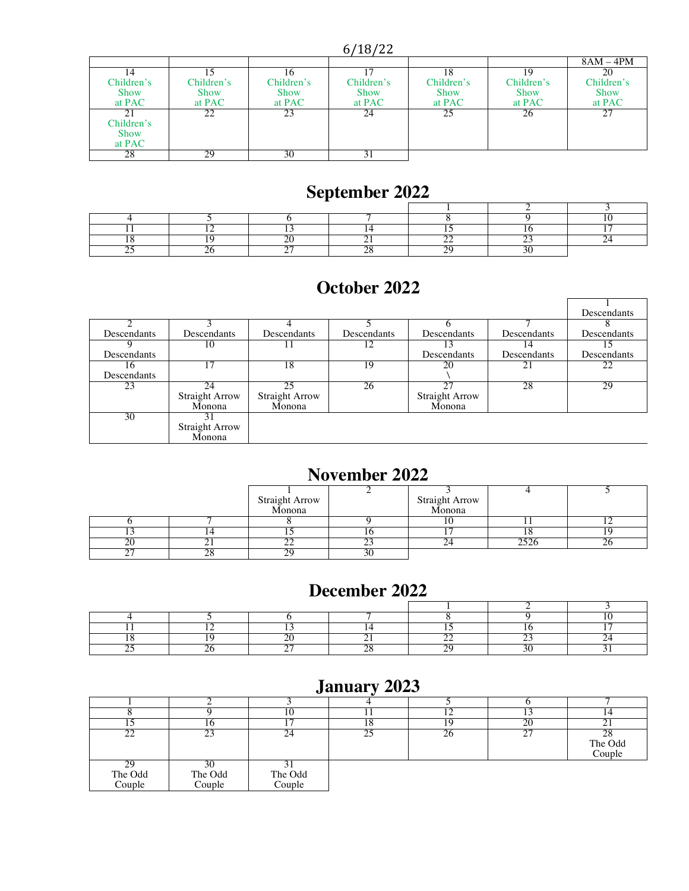6/18/22

|             |             |             |             |             |             | $8AM - 4PM$ |
|-------------|-------------|-------------|-------------|-------------|-------------|-------------|
| 14          |             |             |             | 18          | 10          | 20          |
| Children's  | Children's  | Children's  | Children's  | Children's  | Children's  | Children's  |
| <b>Show</b> | <b>Show</b> | <b>Show</b> | <b>Show</b> | <b>Show</b> | <b>Show</b> | <b>Show</b> |
| at PAC      | at PAC      | at PAC      | at PAC      | at PAC      | at PAC      | at PAC      |
| 21          | 22          | 23          | 24          | 25          | 26          | 27          |
| Children's  |             |             |             |             |             |             |
| <b>Show</b> |             |             |             |             |             |             |
| at PAC      |             |             |             |             |             |             |
| 28          | 29          | 30          |             |             |             |             |

## **September 2022**

### **October 2022**

|                    |                       |                       |             |                       |             | Descendants |
|--------------------|-----------------------|-----------------------|-------------|-----------------------|-------------|-------------|
|                    |                       |                       |             |                       |             |             |
| Descendants        | Descendants           | Descendants           | Descendants | Descendants           | Descendants | Descendants |
|                    | 10                    |                       | 12          | 13                    | 14          |             |
| <b>Descendants</b> |                       |                       |             | Descendants           | Descendants | Descendants |
|                    | 17                    | 18                    | 19          | 20                    |             | 22          |
| Descendants        |                       |                       |             |                       |             |             |
| 23                 | 24                    | 25                    | 26          | 27                    | 28          | 29          |
|                    | <b>Straight Arrow</b> | <b>Straight Arrow</b> |             | <b>Straight Arrow</b> |             |             |
|                    | Monona                | Monona                |             | Monona                |             |             |
| 30                 |                       |                       |             |                       |             |             |
|                    | Straight Arrow        |                       |             |                       |             |             |
|                    | Monona                |                       |             |                       |             |             |

## **November 2022**

|               | Straight Arrow<br>Monona |          | Straight Arrow<br>Monona |    |
|---------------|--------------------------|----------|--------------------------|----|
|               |                          |          |                          |    |
|               |                          |          |                          |    |
|               |                          |          |                          |    |
|               | --                       | <u>_</u> |                          | ∠∪ |
| $\sim$ $\sim$ | $\gamma$ c<br>∼.         |          |                          |    |

#### **December 2022**

## **January 2023**

|                         | . U                     |                   |    |    | 20          |                         |
|-------------------------|-------------------------|-------------------|----|----|-------------|-------------------------|
| ാ                       | 23                      | 24                | つち | 26 | $\sim$<br>∼ | 28<br>The Odd<br>Couple |
| 29<br>The Odd<br>Couple | 30<br>The Odd<br>Couple | The Odd<br>Couple |    |    |             |                         |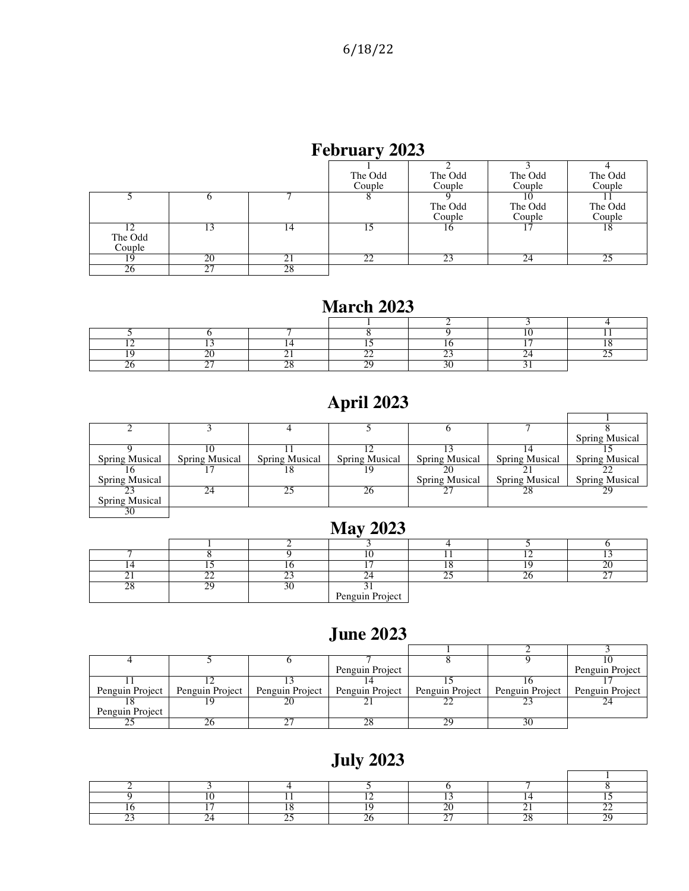## **February 2023**

|                   |    |    | The Odd<br>Couple | The Odd<br>Couple | The Odd<br>Couple | The Odd<br>Couple |
|-------------------|----|----|-------------------|-------------------|-------------------|-------------------|
|                   |    |    |                   | The Odd<br>Couple | The Odd<br>Couple | The Odd<br>Couple |
| The Odd<br>Couple | 13 | 14 |                   | 16                |                   | 18                |
| 19                | 20 |    |                   |                   | 24                |                   |
| $20^{\circ}$      |    | 28 |                   |                   |                   |                   |

### **March 2023**

## **April 2023**

|                |                       |                       |                       |                       |                       | <b>Spring Musical</b> |
|----------------|-----------------------|-----------------------|-----------------------|-----------------------|-----------------------|-----------------------|
|                |                       |                       |                       |                       |                       |                       |
| Spring Musical | <b>Spring Musical</b> | <b>Spring Musical</b> | <b>Spring Musical</b> | <b>Spring Musical</b> | <b>Spring Musical</b> | <b>Spring Musical</b> |
|                |                       | 18                    |                       |                       |                       |                       |
| Spring Musical |                       |                       |                       | <b>Spring Musical</b> | Spring Musical        | <b>Spring Musical</b> |
|                | 24                    | 25                    | 26                    |                       | 28                    | 29                    |
| Spring Musical |                       |                       |                       |                       |                       |                       |
| 30             |                       |                       |                       |                       |                       |                       |

### **May 2023**

|  |                 |  | $\sim$ $-$ |
|--|-----------------|--|------------|
|  |                 |  |            |
|  | Penguin Project |  |            |

#### **June 2023**

|                 |                                                     | Penguin Project |                 |                 | Penguin Project |
|-----------------|-----------------------------------------------------|-----------------|-----------------|-----------------|-----------------|
|                 |                                                     |                 |                 |                 |                 |
| Penguin Project | Penguin Project   Penguin Project   Penguin Project |                 | Penguin Project | Penguin Project | Penguin Project |
|                 |                                                     |                 |                 |                 |                 |
| Penguin Project |                                                     |                 |                 |                 |                 |
|                 |                                                     |                 |                 | 30              |                 |

# **July 2023**

 $\overline{1}$ 

 $\mathbf{r}$